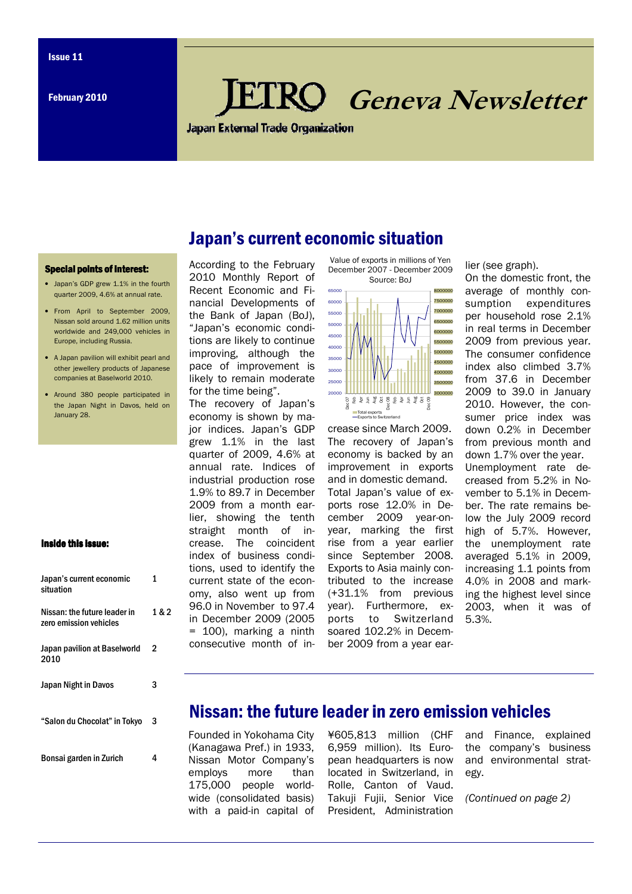# Geneva Newsletter

**Japan External Trade Organization** 

Japan's current economic situation

#### Special points of interest:

- Japan's GDP grew 1.1% in the fourth quarter 2009, 4.6% at annual rate.
- From April to September 2009, Nissan sold around 1.62 million units worldwide and 249,000 vehicles in Europe, including Russia.
- A Japan pavilion will exhibit pearl and other jewellery products of Japanese companies at Baselworld 2010.
- Around 380 people participated in the Japan Night in Davos, held on January 28.

#### Inside this issue:

| Japan's current economic<br>situation                  | 1     |
|--------------------------------------------------------|-------|
| Nissan: the future leader in<br>zero emission vehicles | 1 & 2 |
| Japan pavilion at Baselworld<br>2010                   | 2     |
| Japan Night in Davos                                   | 3     |
| "Salon du Chocolat" in Tokyo                           | 3     |
| Bonsai garden in Zurich                                | 4     |

According to the February 2010 Monthly Report of Recent Economic and Financial Developments of the Bank of Japan (BoJ), "Japan's economic conditions are likely to continue improving, although the pace of improvement is likely to remain moderate for the time being".

The recovery of Japan's economy is shown by major indices. Japan's GDP grew 1.1% in the last quarter of 2009, 4.6% at annual rate. Indices of industrial production rose 1.9% to 89.7 in December 2009 from a month earlier, showing the tenth straight month of increase. The coincident index of business conditions, used to identify the current state of the economy, also went up from 96.0 in November to 97.4 in December 2009 (2005 = 100), marking a ninth consecutive month of in-

Value of exports in millions of Yen December 2007 - December 2009 Source: BoJ



crease since March 2009. The recovery of Japan's economy is backed by an improvement in exports and in domestic demand. Total Japan's value of exports rose 12.0% in December 2009 year-onyear, marking the first rise from a year earlier since September 2008. Exports to Asia mainly contributed to the increase (+31.1% from previous year). Furthermore, exports to Switzerland soared 102.2% in December 2009 from a year earlier (see graph).

On the domestic front, the average of monthly consumption expenditures per household rose 2.1% in real terms in December 2009 from previous year. The consumer confidence index also climbed 3.7% from 37.6 in December 2009 to 39.0 in January 2010. However, the consumer price index was down 0.2% in December from previous month and down 1.7% over the year. Unemployment rate decreased from 5.2% in November to 5.1% in December. The rate remains below the July 2009 record high of 5.7%. However, the unemployment rate averaged 5.1% in 2009, increasing 1.1 points from 4.0% in 2008 and marking the highest level since 2003, when it was of 5.3%.

# Nissan: the future leader in zero emission vehicles

Founded in Yokohama City (Kanagawa Pref.) in 1933, Nissan Motor Company's employs more than 175,000 people worldwide (consolidated basis) with a paid-in capital of

¥605,813 million (CHF 6,959 million). Its European headquarters is now located in Switzerland, in Rolle, Canton of Vaud. Takuji Fujii, Senior Vice President, Administration

and Finance, explained the company's business and environmental strategy.

(Continued on page 2)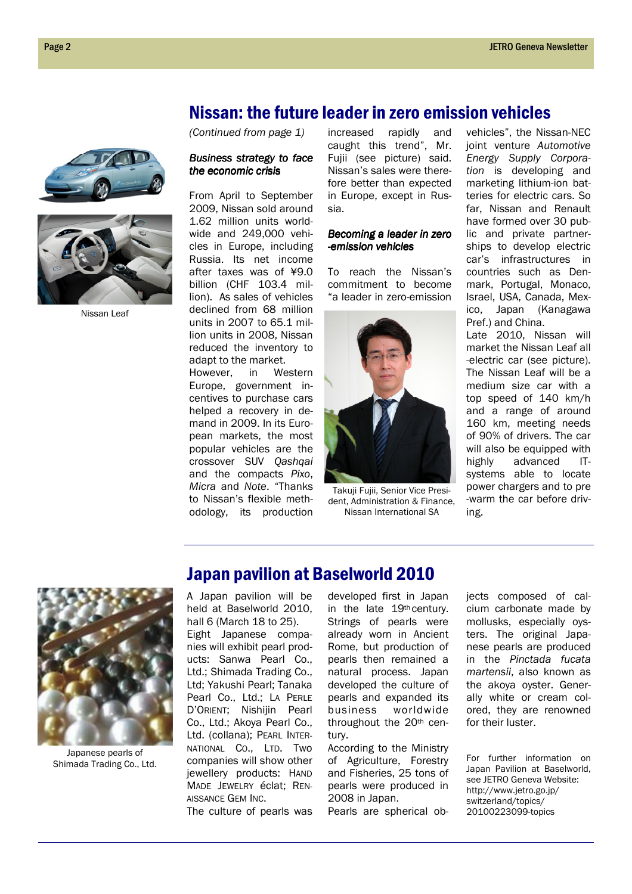## Nissan: the future leader in zero emission vehicles



Nissan Leaf

#### (Continued from page 1)

#### Business strategy to face the economic crisis

From April to September 2009, Nissan sold around 1.62 million units worldwide and 249,000 vehicles in Europe, including Russia. Its net income after taxes was of ¥9.0 billion (CHF 103.4 million). As sales of vehicles declined from 68 million units in 2007 to 65.1 million units in 2008, Nissan reduced the inventory to adapt to the market.

However, in Western Europe, government incentives to purchase cars helped a recovery in demand in 2009. In its European markets, the most popular vehicles are the crossover SUV Qashqai and the compacts Pixo, Micra and Note. "Thanks to Nissan's flexible methodology, its production

increased rapidly and caught this trend", Mr. Fujii (see picture) said. Nissan's sales were therefore better than expected in Europe, except in Russia.

#### Becoming a leader in zero -emission vehicles

To reach the Nissan's commitment to become "a leader in zero-emission



Takuji Fujii, Senior Vice President, Administration & Finance, Nissan International SA

vehicles", the Nissan-NEC joint venture Automotive Energy Supply Corporation is developing and marketing lithium-ion batteries for electric cars. So far, Nissan and Renault have formed over 30 public and private partnerships to develop electric car's infrastructures in countries such as Denmark, Portugal, Monaco, Israel, USA, Canada, Mexico, Japan (Kanagawa Pref.) and China.

Late 2010, Nissan will market the Nissan Leaf all -electric car (see picture). The Nissan Leaf will be a medium size car with a top speed of 140 km/h and a range of around 160 km, meeting needs of 90% of drivers. The car will also be equipped with highly advanced ITsystems able to locate power chargers and to pre -warm the car before driving.



Japanese pearls of Shimada Trading Co., Ltd.

# Japan pavilion at Baselworld 2010

A Japan pavilion will be held at Baselworld 2010, hall 6 (March 18 to 25). Eight Japanese companies will exhibit pearl products: Sanwa Pearl Co., Ltd.; Shimada Trading Co., Ltd; Yakushi Pearl; Tanaka Pearl Co., Ltd.; LA PERLE D'ORIENT; Nishijin Pearl Co., Ltd.; Akoya Pearl Co., Ltd. (collana); PEARL INTER-NATIONAL CO., LTD. Two companies will show other jewellery products: HAND MADE JEWELRY éclat; REN-AISSANCE GEM INC. The culture of pearls was

developed first in Japan in the late 19th century. Strings of pearls were already worn in Ancient Rome, but production of pearls then remained a natural process. Japan developed the culture of pearls and expanded its business worldwide throughout the 20<sup>th</sup> century.

According to the Ministry of Agriculture, Forestry and Fisheries, 25 tons of pearls were produced in 2008 in Japan.

Pearls are spherical ob-

jects composed of calcium carbonate made by mollusks, especially oysters. The original Japanese pearls are produced in the Pinctada fucata martensii, also known as the akoya oyster. Generally white or cream colored, they are renowned for their luster.

For further information on Japan Pavilion at Baselworld, see JETRO Geneva Website: http://www.jetro.go.jp/ switzerland/topics/ 20100223099-topics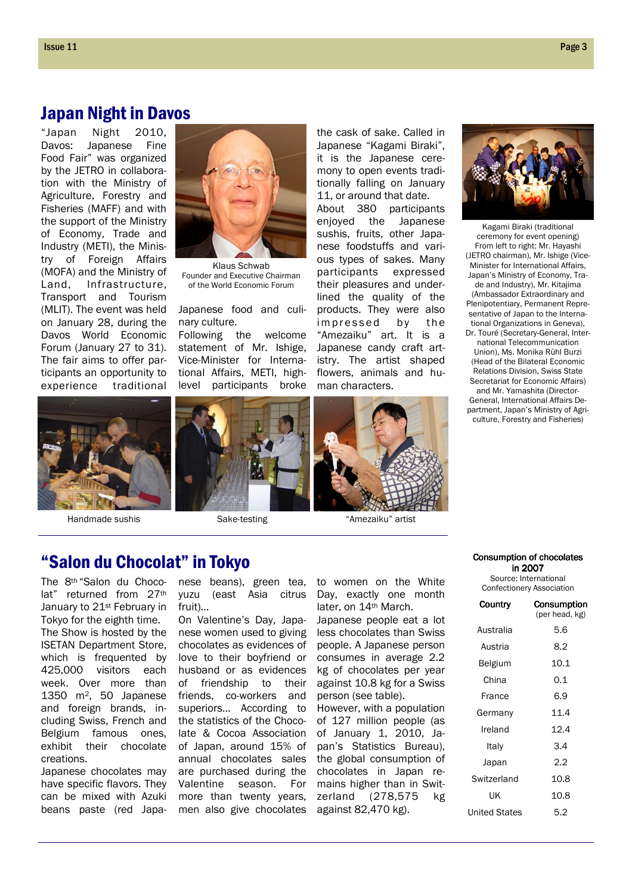# Japan Night in Davos

"Japan Night 2010, Davos: Japanese Fine Food Fair" was organized by the JETRO in collaboration with the Ministry of Agriculture, Forestry and Fisheries (MAFF) and with the support of the Ministry of Economy, Trade and Industry (METI), the Ministry of Foreign Affairs (MOFA) and the Ministry of Land, Infrastructure, Transport and Tourism (MLIT). The event was held on January 28, during the Davos World Economic Forum (January 27 to 31). The fair aims to offer participants an opportunity to experience traditional



Klaus Schwab Founder and Executive Chairman of the World Economic Forum

Japanese food and culinary culture.

Following the welcome statement of Mr. Ishige, Vice-Minister for International Affairs, METI, highlevel participants broke the cask of sake. Called in Japanese "Kagami Biraki", it is the Japanese ceremony to open events traditionally falling on January 11, or around that date. About 380 participants enjoyed the Japanese sushis, fruits, other Japanese foodstuffs and various types of sakes. Many participants expressed their pleasures and underlined the quality of the products. They were also impressed by the "Amezaiku" art. It is a Japanese candy craft artistry. The artist shaped flowers, animals and human characters.



Kagami Biraki (traditional ceremony for event opening) From left to right: Mr. Hayashi (JETRO chairman), Mr. Ishige (Vice-Minister for International Affairs, Japan's Ministry of Economy, Trade and Industry), Mr. Kitajima (Ambassador Extraordinary and Plenipotentiary, Permanent Representative of Japan to the International Organizations in Geneva), Dr. Touré (Secretary-General, International Telecommunication Union), Ms. Monika Rühl Burzi (Head of the Bilateral Economic Relations Division, Swiss State Secretariat for Economic Affairs) and Mr. Yamashita (Director-General, International Affairs Department, Japan's Ministry of Agriculture, Forestry and Fisheries)



Handmade sushis





Sake-testing "Amezaiku" artist

## "Salon du Chocolat" in Tokyo

The 8th "Salon du Chocolat" returned from 27<sup>th</sup> January to 21st February in Tokyo for the eighth time. The Show is hosted by the ISETAN Department Store, which is frequented by 425,000 visitors each week. Over more than 1350 m2, 50 Japanese and foreign brands, including Swiss, French and Belgium famous ones, exhibit their chocolate creations.

Japanese chocolates may have specific flavors. They can be mixed with Azuki beans paste (red Japa-

nese beans), green tea, yuzu (east Asia citrus fruit)…

On Valentine's Day, Japanese women used to giving chocolates as evidences of love to their boyfriend or husband or as evidences of friendship to their friends, co-workers and superiors… According to the statistics of the Chocolate & Cocoa Association of Japan, around 15% of annual chocolates sales are purchased during the Valentine season. For more than twenty years, men also give chocolates

to women on the White Day, exactly one month later, on 14th March.

Japanese people eat a lot less chocolates than Swiss people. A Japanese person consumes in average 2.2 kg of chocolates per year against 10.8 kg for a Swiss person (see table).

However, with a population of 127 million people (as of January 1, 2010, Japan's Statistics Bureau), the global consumption of chocolates in Japan remains higher than in Switzerland (278,575 kg against 82,470 kg).

Consumption of chocolates in 2007 Source: International<br>Confectionery Association

| Country       | Consumption<br>(per head, kg) |
|---------------|-------------------------------|
| Australia     | 5.6                           |
| Austria       | 8.2                           |
| Belgium       | 10.1                          |
| China         | 0.1                           |
| France        | 6.9                           |
| Germany       | 11.4                          |
| Ireland       | 12.4                          |
| Italy         | 3.4                           |
| Japan         | 2.2                           |
| Switzerland   | 10.8                          |
| UK            | 10.8                          |
| United States | 5.2                           |